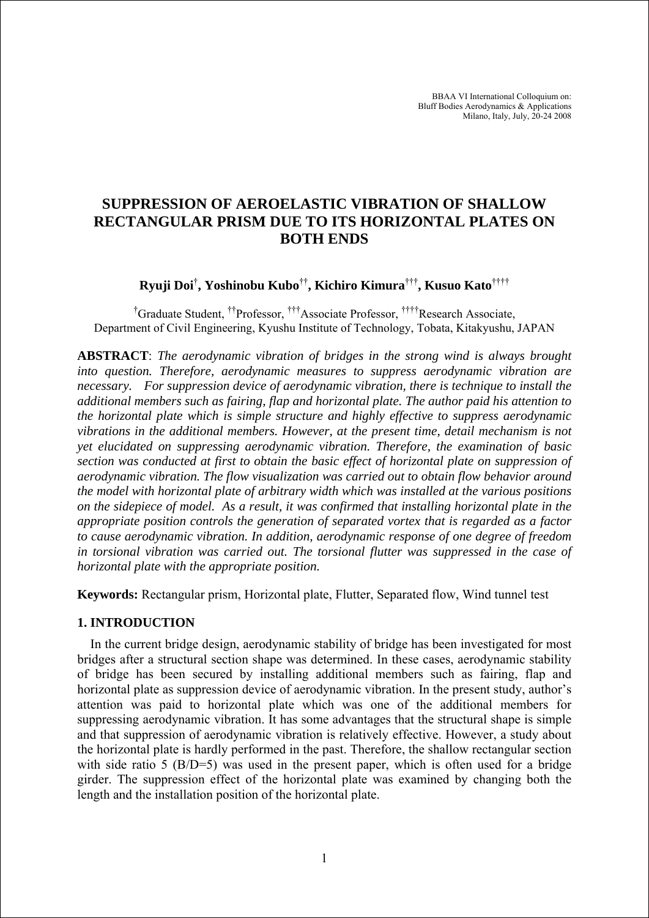BBAA VI International Colloquium on: Bluff Bodies Aerodynamics & Applications Milano, Italy, July, 20-24 2008

# **SUPPRESSION OF AEROELASTIC VIBRATION OF SHALLOW RECTANGULAR PRISM DUE TO ITS HORIZONTAL PLATES ON BOTH ENDS**

**Ryuji Doi**† **, Yoshinobu Kubo**††**, Kichiro Kimura**†††**, Kusuo Kato**††††

<sup>†</sup>Graduate Student, <sup>††</sup>Professor, <sup>†††</sup>Associate Professor, <sup>††††</sup>Research Associate, Department of Civil Engineering, Kyushu Institute of Technology, Tobata, Kitakyushu, JAPAN

**ABSTRACT**: *The aerodynamic vibration of bridges in the strong wind is always brought into question. Therefore, aerodynamic measures to suppress aerodynamic vibration are necessary. For suppression device of aerodynamic vibration, there is technique to install the additional members such as fairing, flap and horizontal plate. The author paid his attention to the horizontal plate which is simple structure and highly effective to suppress aerodynamic vibrations in the additional members. However, at the present time, detail mechanism is not yet elucidated on suppressing aerodynamic vibration. Therefore, the examination of basic section was conducted at first to obtain the basic effect of horizontal plate on suppression of aerodynamic vibration. The flow visualization was carried out to obtain flow behavior around the model with horizontal plate of arbitrary width which was installed at the various positions on the sidepiece of model. As a result, it was confirmed that installing horizontal plate in the appropriate position controls the generation of separated vortex that is regarded as a factor to cause aerodynamic vibration. In addition, aerodynamic response of one degree of freedom in torsional vibration was carried out. The torsional flutter was suppressed in the case of horizontal plate with the appropriate position.* 

**Keywords:** Rectangular prism, Horizontal plate, Flutter, Separated flow, Wind tunnel test

# **1. INTRODUCTION**

In the current bridge design, aerodynamic stability of bridge has been investigated for most bridges after a structural section shape was determined. In these cases, aerodynamic stability of bridge has been secured by installing additional members such as fairing, flap and horizontal plate as suppression device of aerodynamic vibration. In the present study, author's attention was paid to horizontal plate which was one of the additional members for suppressing aerodynamic vibration. It has some advantages that the structural shape is simple and that suppression of aerodynamic vibration is relatively effective. However, a study about the horizontal plate is hardly performed in the past. Therefore, the shallow rectangular section with side ratio 5 (B/D=5) was used in the present paper, which is often used for a bridge girder. The suppression effect of the horizontal plate was examined by changing both the length and the installation position of the horizontal plate.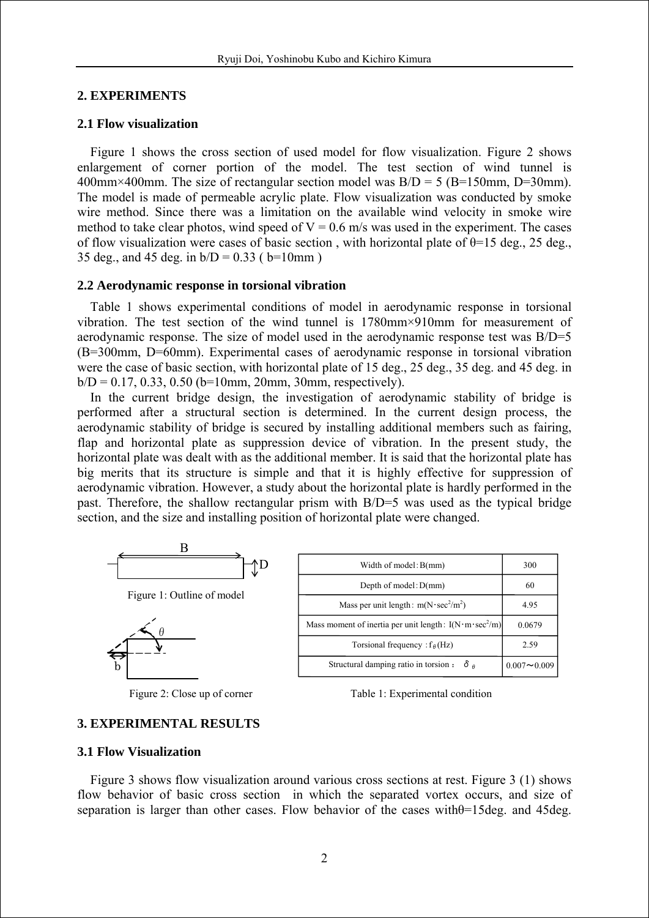## **2. EXPERIMENTS**

### **2.1 Flow visualization**

Figure 1 shows the cross section of used model for flow visualization. Figure 2 shows enlargement of corner portion of the model. The test section of wind tunnel is 400mm×400mm. The size of rectangular section model was  $B/D = 5$  (B=150mm, D=30mm). The model is made of permeable acrylic plate. Flow visualization was conducted by smoke wire method. Since there was a limitation on the available wind velocity in smoke wire method to take clear photos, wind speed of  $V = 0.6$  m/s was used in the experiment. The cases of flow visualization were cases of basic section, with horizontal plate of  $\theta$ =15 deg., 25 deg., 35 deg., and 45 deg. in  $b/D = 0.33$  ( $b=10$ mm)

#### **2.2 Aerodynamic response in torsional vibration**

Table 1 shows experimental conditions of model in aerodynamic response in torsional vibration. The test section of the wind tunnel is 1780mm×910mm for measurement of aerodynamic response. The size of model used in the aerodynamic response test was B/D=5 (B=300mm, D=60mm). Experimental cases of aerodynamic response in torsional vibration were the case of basic section, with horizontal plate of 15 deg., 25 deg., 35 deg. and 45 deg. in  $b/D = 0.17, 0.33, 0.50$  (b=10mm, 20mm, 30mm, respectively).

In the current bridge design, the investigation of aerodynamic stability of bridge is performed after a structural section is determined. In the current design process, the aerodynamic stability of bridge is secured by installing additional members such as fairing, flap and horizontal plate as suppression device of vibration. In the present study, the horizontal plate was dealt with as the additional member. It is said that the horizontal plate has big merits that its structure is simple and that it is highly effective for suppression of aerodynamic vibration. However, a study about the horizontal plate is hardly performed in the past. Therefore, the shallow rectangular prism with B/D=5 was used as the typical bridge section, and the size and installing position of horizontal plate were changed.



Figure 1: Outline of model



| Width of model: $B(mm)$                                               | 300             |
|-----------------------------------------------------------------------|-----------------|
| Depth of model: $D(mm)$                                               | 60              |
| Mass per unit length: $m(N \cdot \text{sec}^2/m^2)$                   | 4.95            |
| Mass moment of inertia per unit length: $I(N \cdot m \cdot \sec^2/m)$ | 0.0679          |
| Torsional frequency : $f_{\theta}$ (Hz)                               | 2.59            |
| Structural damping ratio in torsion :<br>δą                           | $0.007 - 0.009$ |

Figure 2: Close up of corner Table 1: Experimental condition

## **3. EXPERIMENTAL RESULTS**

#### **3.1 Flow Visualization**

Figure 3 shows flow visualization around various cross sections at rest. Figure 3 (1) shows flow behavior of basic cross section in which the separated vortex occurs, and size of separation is larger than other cases. Flow behavior of the cases with $\theta$ =15deg. and 45deg.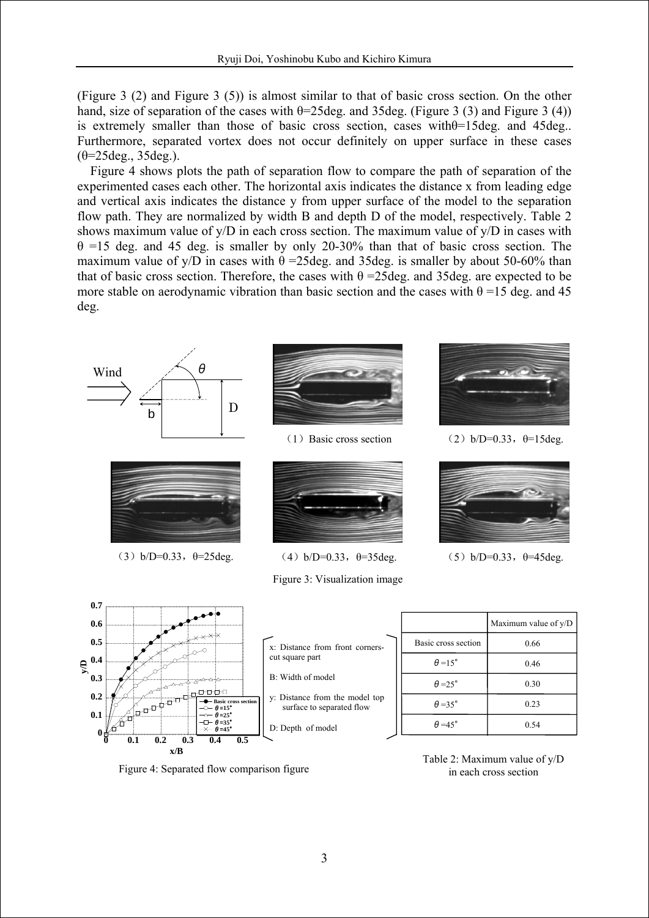(Figure 3 (2) and Figure 3 (5)) is almost similar to that of basic cross section. On the other hand, size of separation of the cases with  $\theta$ =25deg. and 35deg. (Figure 3 (3) and Figure 3 (4)) is extremely smaller than those of basic cross section, cases withθ=15deg. and 45deg.. Furthermore, separated vortex does not occur definitely on upper surface in these cases  $(\theta=25 \text{deg.}, 35 \text{deg.})$ .

Figure 4 shows plots the path of separation flow to compare the path of separation of the experimented cases each other. The horizontal axis indicates the distance x from leading edge and vertical axis indicates the distance y from upper surface of the model to the separation flow path. They are normalized by width B and depth D of the model, respectively. Table 2 shows maximum value of y/D in each cross section. The maximum value of y/D in cases with  $\theta$  =15 deg. and 45 deg. is smaller by only 20-30% than that of basic cross section. The maximum value of y/D in cases with  $\theta$  =25deg. and 35deg. is smaller by about 50-60% than that of basic cross section. Therefore, the cases with  $θ = 25deg$  and 35deg. are expected to be more stable on aerodynamic vibration than basic section and the cases with  $\theta$  =15 deg. and 45 deg.









(3) b/D=0.33,  $\theta$ =25deg. (4) b/D=0.33,  $\theta$ =35deg. (5) b/D=0.33,  $\theta$ =45deg.

Figure 3: Visualization image



(1) Basic cross section (2)  $b/D=0.33$ ,  $\theta=15deg$ 





| x: Distance from front corners-<br>cut square part          |
|-------------------------------------------------------------|
| B: Width of model                                           |
| y: Distance from the model top<br>surface to separated flow |
| D: Denth of model                                           |

|                       | Maximum value of y/D |
|-----------------------|----------------------|
| Basic cross section   | 0.66                 |
| $\theta = 15^{\circ}$ | 0.46                 |
| $\theta = 25^{\circ}$ | 0.30                 |
| $\theta = 35^{\circ}$ | 0.23                 |
| $\theta = 45^{\circ}$ | 0.54                 |